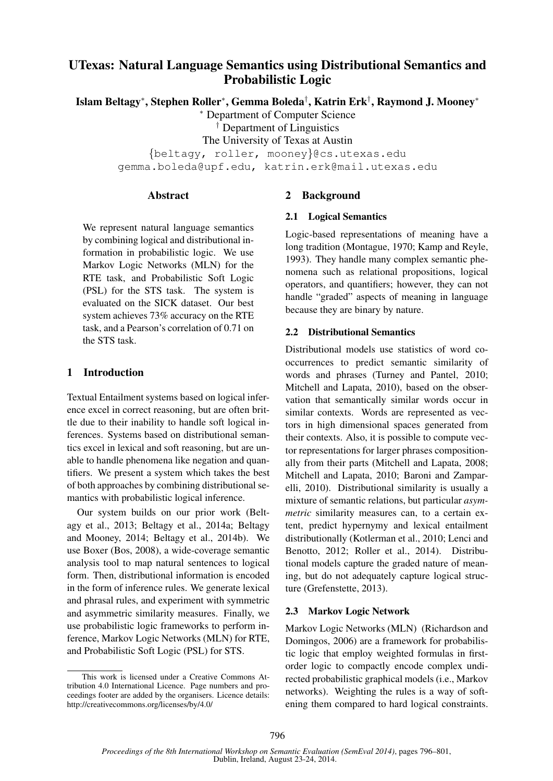# UTexas: Natural Language Semantics using Distributional Semantics and Probabilistic Logic

Islam Beltagy<sup>∗</sup> , Stephen Roller<sup>∗</sup> , Gemma Boleda† , Katrin Erk† , Raymond J. Mooney<sup>∗</sup>

<sup>∗</sup> Department of Computer Science

† Department of Linguistics

The University of Texas at Austin

{beltagy, roller, mooney}@cs.utexas.edu gemma.boleda@upf.edu, katrin.erk@mail.utexas.edu

#### Abstract

We represent natural language semantics by combining logical and distributional information in probabilistic logic. We use Markov Logic Networks (MLN) for the RTE task, and Probabilistic Soft Logic (PSL) for the STS task. The system is evaluated on the SICK dataset. Our best system achieves 73% accuracy on the RTE task, and a Pearson's correlation of 0.71 on the STS task.

# 1 Introduction

Textual Entailment systems based on logical inference excel in correct reasoning, but are often brittle due to their inability to handle soft logical inferences. Systems based on distributional semantics excel in lexical and soft reasoning, but are unable to handle phenomena like negation and quantifiers. We present a system which takes the best of both approaches by combining distributional semantics with probabilistic logical inference.

Our system builds on our prior work (Beltagy et al., 2013; Beltagy et al., 2014a; Beltagy and Mooney, 2014; Beltagy et al., 2014b). We use Boxer (Bos, 2008), a wide-coverage semantic analysis tool to map natural sentences to logical form. Then, distributional information is encoded in the form of inference rules. We generate lexical and phrasal rules, and experiment with symmetric and asymmetric similarity measures. Finally, we use probabilistic logic frameworks to perform inference, Markov Logic Networks (MLN) for RTE, and Probabilistic Soft Logic (PSL) for STS.

# 2 Background

# 2.1 Logical Semantics

Logic-based representations of meaning have a long tradition (Montague, 1970; Kamp and Reyle, 1993). They handle many complex semantic phenomena such as relational propositions, logical operators, and quantifiers; however, they can not handle "graded" aspects of meaning in language because they are binary by nature.

# 2.2 Distributional Semantics

Distributional models use statistics of word cooccurrences to predict semantic similarity of words and phrases (Turney and Pantel, 2010; Mitchell and Lapata, 2010), based on the observation that semantically similar words occur in similar contexts. Words are represented as vectors in high dimensional spaces generated from their contexts. Also, it is possible to compute vector representations for larger phrases compositionally from their parts (Mitchell and Lapata, 2008; Mitchell and Lapata, 2010; Baroni and Zamparelli, 2010). Distributional similarity is usually a mixture of semantic relations, but particular *asymmetric* similarity measures can, to a certain extent, predict hypernymy and lexical entailment distributionally (Kotlerman et al., 2010; Lenci and Benotto, 2012; Roller et al., 2014). Distributional models capture the graded nature of meaning, but do not adequately capture logical structure (Grefenstette, 2013).

# 2.3 Markov Logic Network

Markov Logic Networks (MLN) (Richardson and Domingos, 2006) are a framework for probabilistic logic that employ weighted formulas in firstorder logic to compactly encode complex undirected probabilistic graphical models (i.e., Markov networks). Weighting the rules is a way of softening them compared to hard logical constraints.

This work is licensed under a Creative Commons Attribution 4.0 International Licence. Page numbers and proceedings footer are added by the organisers. Licence details: http://creativecommons.org/licenses/by/4.0/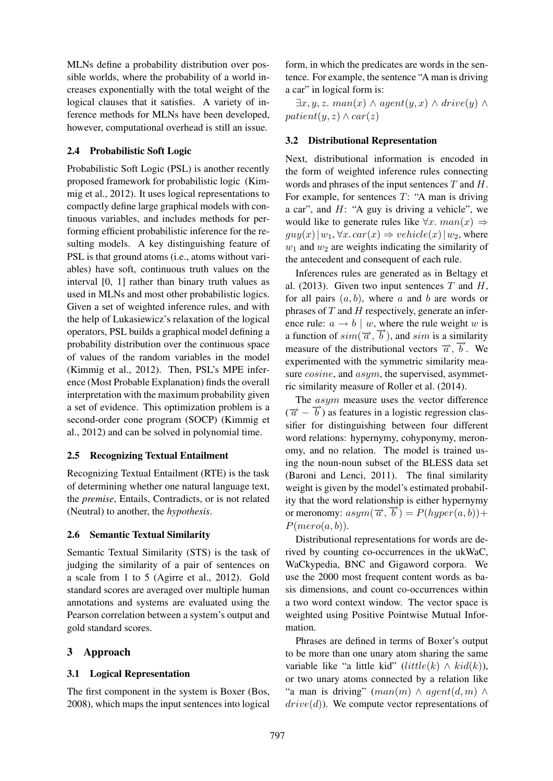MLNs define a probability distribution over possible worlds, where the probability of a world increases exponentially with the total weight of the logical clauses that it satisfies. A variety of inference methods for MLNs have been developed, however, computational overhead is still an issue.

### 2.4 Probabilistic Soft Logic

Probabilistic Soft Logic (PSL) is another recently proposed framework for probabilistic logic (Kimmig et al., 2012). It uses logical representations to compactly define large graphical models with continuous variables, and includes methods for performing efficient probabilistic inference for the resulting models. A key distinguishing feature of PSL is that ground atoms (i.e., atoms without variables) have soft, continuous truth values on the interval [0, 1] rather than binary truth values as used in MLNs and most other probabilistic logics. Given a set of weighted inference rules, and with the help of Lukasiewicz's relaxation of the logical operators, PSL builds a graphical model defining a probability distribution over the continuous space of values of the random variables in the model (Kimmig et al., 2012). Then, PSL's MPE inference (Most Probable Explanation) finds the overall interpretation with the maximum probability given a set of evidence. This optimization problem is a second-order cone program (SOCP) (Kimmig et al., 2012) and can be solved in polynomial time.

#### 2.5 Recognizing Textual Entailment

Recognizing Textual Entailment (RTE) is the task of determining whether one natural language text, the *premise*, Entails, Contradicts, or is not related (Neutral) to another, the *hypothesis*.

#### 2.6 Semantic Textual Similarity

Semantic Textual Similarity (STS) is the task of judging the similarity of a pair of sentences on a scale from 1 to 5 (Agirre et al., 2012). Gold standard scores are averaged over multiple human annotations and systems are evaluated using the Pearson correlation between a system's output and gold standard scores.

# 3 Approach

# 3.1 Logical Representation

The first component in the system is Boxer (Bos, 2008), which maps the input sentences into logical form, in which the predicates are words in the sentence. For example, the sentence "A man is driving a car" in logical form is:

 $\exists x, y, z. \; man(x) \land agent(y, x) \land drive(y) \land$  $patient(y, z) \wedge car(z)$ 

#### 3.2 Distributional Representation

Next, distributional information is encoded in the form of weighted inference rules connecting words and phrases of the input sentences  $T$  and  $H$ . For example, for sentences  $T$ : "A man is driving a car", and  $H$ : "A guy is driving a vehicle", we would like to generate rules like  $\forall x.$  man $(x) \Rightarrow$  $guy(x)|w_1, \forall x. car(x) \Rightarrow vehicle(x)|w_2$ , where  $w_1$  and  $w_2$  are weights indicating the similarity of the antecedent and consequent of each rule.

Inferences rules are generated as in Beltagy et al. (2013). Given two input sentences  $T$  and  $H$ , for all pairs  $(a, b)$ , where a and b are words or phrases of  $T$  and  $H$  respectively, generate an inference rule:  $a \rightarrow b \mid w$ , where the rule weight w is a function of  $sim(\vec{\alpha}, \vec{b})$ , and sim is a similarity measure of the distributional vectors  $\vec{a}$ ,  $\vec{b}$ . We experimented with the symmetric similarity measure *cosine*, and *asym*, the supervised, asymmetric similarity measure of Roller et al. (2014).

The asym measure uses the vector difference  $(\vec{a} - \vec{b})$  as features in a logistic regression classifier for distinguishing between four different word relations: hypernymy, cohyponymy, meronomy, and no relation. The model is trained using the noun-noun subset of the BLESS data set (Baroni and Lenci, 2011). The final similarity weight is given by the model's estimated probability that the word relationship is either hypernymy or meronomy:  $asym(\vec{\alpha}, \vec{b}) = P(hyper(a, b)) +$  $P(mero(a, b)).$ 

Distributional representations for words are derived by counting co-occurrences in the ukWaC, WaCkypedia, BNC and Gigaword corpora. We use the 2000 most frequent content words as basis dimensions, and count co-occurrences within a two word context window. The vector space is weighted using Positive Pointwise Mutual Information.

Phrases are defined in terms of Boxer's output to be more than one unary atom sharing the same variable like "a little kid" (little(k)  $\wedge$  kid(k)), or two unary atoms connected by a relation like "a man is driving"  $(man(m) \wedge agent(d, m) \wedge$  $drive(d)$ ). We compute vector representations of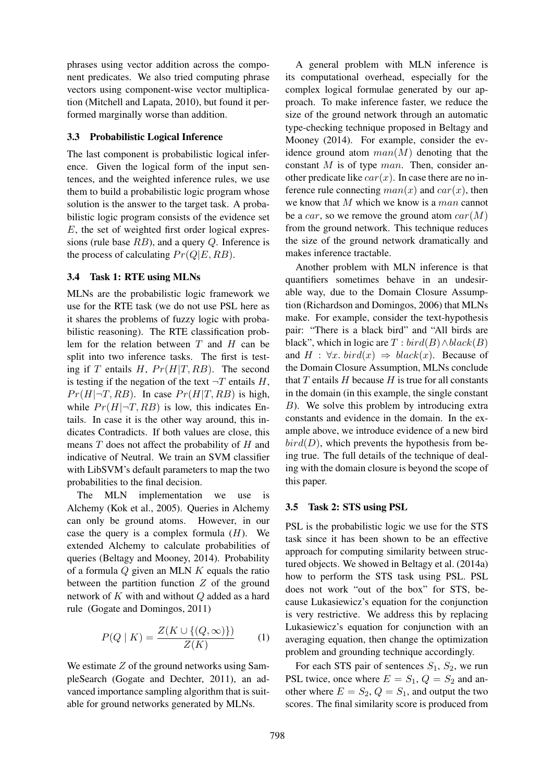phrases using vector addition across the component predicates. We also tried computing phrase vectors using component-wise vector multiplication (Mitchell and Lapata, 2010), but found it performed marginally worse than addition.

#### 3.3 Probabilistic Logical Inference

The last component is probabilistic logical inference. Given the logical form of the input sentences, and the weighted inference rules, we use them to build a probabilistic logic program whose solution is the answer to the target task. A probabilistic logic program consists of the evidence set E, the set of weighted first order logical expressions (rule base  $RB$ ), and a query  $Q$ . Inference is the process of calculating  $Pr(Q|E, RB)$ .

### 3.4 Task 1: RTE using MLNs

MLNs are the probabilistic logic framework we use for the RTE task (we do not use PSL here as it shares the problems of fuzzy logic with probabilistic reasoning). The RTE classification problem for the relation between  $T$  and  $H$  can be split into two inference tasks. The first is testing if T entails H,  $Pr(H|T, RB)$ . The second is testing if the negation of the text  $\neg T$  entails H,  $Pr(H|\neg T, RB)$ . In case  $Pr(H|T, RB)$  is high, while  $Pr(H|\neg T, RB)$  is low, this indicates Entails. In case it is the other way around, this indicates Contradicts. If both values are close, this means  $T$  does not affect the probability of  $H$  and indicative of Neutral. We train an SVM classifier with LibSVM's default parameters to map the two probabilities to the final decision.

The MLN implementation we use is Alchemy (Kok et al., 2005). Queries in Alchemy can only be ground atoms. However, in our case the query is a complex formula  $(H)$ . We extended Alchemy to calculate probabilities of queries (Beltagy and Mooney, 2014). Probability of a formula  $Q$  given an MLN  $K$  equals the ratio between the partition function  $Z$  of the ground network of  $K$  with and without  $Q$  added as a hard rule (Gogate and Domingos, 2011)

$$
P(Q \mid K) = \frac{Z(K \cup \{(Q, \infty)\})}{Z(K)} \tag{1}
$$

We estimate  $Z$  of the ground networks using SampleSearch (Gogate and Dechter, 2011), an advanced importance sampling algorithm that is suitable for ground networks generated by MLNs.

A general problem with MLN inference is its computational overhead, especially for the complex logical formulae generated by our approach. To make inference faster, we reduce the size of the ground network through an automatic type-checking technique proposed in Beltagy and Mooney (2014). For example, consider the evidence ground atom  $man(M)$  denoting that the constant  $M$  is of type  $man$ . Then, consider another predicate like  $car(x)$ . In case there are no inference rule connecting  $man(x)$  and  $car(x)$ , then we know that M which we know is a man cannot be a *car*, so we remove the ground atom  $car(M)$ from the ground network. This technique reduces the size of the ground network dramatically and makes inference tractable.

Another problem with MLN inference is that quantifiers sometimes behave in an undesirable way, due to the Domain Closure Assumption (Richardson and Domingos, 2006) that MLNs make. For example, consider the text-hypothesis pair: "There is a black bird" and "All birds are black", which in logic are  $T : bird(B) \wedge black(B)$ and  $H : \forall x. \; bird(x) \Rightarrow \; black(x).$  Because of the Domain Closure Assumption, MLNs conclude that  $T$  entails  $H$  because  $H$  is true for all constants in the domain (in this example, the single constant B). We solve this problem by introducing extra constants and evidence in the domain. In the example above, we introduce evidence of a new bird  $bird(D)$ , which prevents the hypothesis from being true. The full details of the technique of dealing with the domain closure is beyond the scope of this paper.

#### 3.5 Task 2: STS using PSL

PSL is the probabilistic logic we use for the STS task since it has been shown to be an effective approach for computing similarity between structured objects. We showed in Beltagy et al. (2014a) how to perform the STS task using PSL. PSL does not work "out of the box" for STS, because Lukasiewicz's equation for the conjunction is very restrictive. We address this by replacing Lukasiewicz's equation for conjunction with an averaging equation, then change the optimization problem and grounding technique accordingly.

For each STS pair of sentences  $S_1$ ,  $S_2$ , we run PSL twice, once where  $E = S_1$ ,  $Q = S_2$  and another where  $E = S_2, Q = S_1$ , and output the two scores. The final similarity score is produced from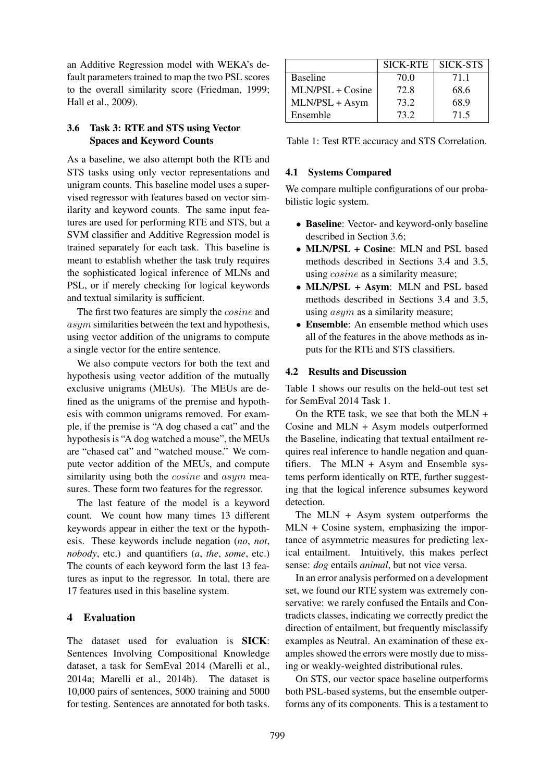an Additive Regression model with WEKA's default parameters trained to map the two PSL scores to the overall similarity score (Friedman, 1999; Hall et al., 2009).

# 3.6 Task 3: RTE and STS using Vector Spaces and Keyword Counts

As a baseline, we also attempt both the RTE and STS tasks using only vector representations and unigram counts. This baseline model uses a supervised regressor with features based on vector similarity and keyword counts. The same input features are used for performing RTE and STS, but a SVM classifier and Additive Regression model is trained separately for each task. This baseline is meant to establish whether the task truly requires the sophisticated logical inference of MLNs and PSL, or if merely checking for logical keywords and textual similarity is sufficient.

The first two features are simply the *cosine* and asym similarities between the text and hypothesis, using vector addition of the unigrams to compute a single vector for the entire sentence.

We also compute vectors for both the text and hypothesis using vector addition of the mutually exclusive unigrams (MEUs). The MEUs are defined as the unigrams of the premise and hypothesis with common unigrams removed. For example, if the premise is "A dog chased a cat" and the hypothesis is "A dog watched a mouse", the MEUs are "chased cat" and "watched mouse." We compute vector addition of the MEUs, and compute similarity using both the *cosine* and *asym* measures. These form two features for the regressor.

The last feature of the model is a keyword count. We count how many times 13 different keywords appear in either the text or the hypothesis. These keywords include negation (*no*, *not*, *nobody*, etc.) and quantifiers (*a*, *the*, *some*, etc.) The counts of each keyword form the last 13 features as input to the regressor. In total, there are 17 features used in this baseline system.

# 4 Evaluation

The dataset used for evaluation is SICK: Sentences Involving Compositional Knowledge dataset, a task for SemEval 2014 (Marelli et al., 2014a; Marelli et al., 2014b). The dataset is 10,000 pairs of sentences, 5000 training and 5000 for testing. Sentences are annotated for both tasks.

|                    | <b>SICK-RTE</b> | <b>SICK-STS</b> |
|--------------------|-----------------|-----------------|
| <b>Baseline</b>    | 70.0            | 71.1            |
| $MLN/PSL + Cosine$ | 72.8            | 68.6            |
| MLN/PSL + Asym     | 73.2            | 68.9            |
| Ensemble           | 73.2            | 71.5            |

Table 1: Test RTE accuracy and STS Correlation.

# 4.1 Systems Compared

We compare multiple configurations of our probabilistic logic system.

- Baseline: Vector- and keyword-only baseline described in Section 3.6;
- MLN/PSL + Cosine: MLN and PSL based methods described in Sections 3.4 and 3.5, using cosine as a similarity measure;
- MLN/PSL + Asym: MLN and PSL based methods described in Sections 3.4 and 3.5, using *asym* as a similarity measure;
- Ensemble: An ensemble method which uses all of the features in the above methods as inputs for the RTE and STS classifiers.

# 4.2 Results and Discussion

Table 1 shows our results on the held-out test set for SemEval 2014 Task 1.

On the RTE task, we see that both the MLN + Cosine and MLN + Asym models outperformed the Baseline, indicating that textual entailment requires real inference to handle negation and quantifiers. The MLN + Asym and Ensemble systems perform identically on RTE, further suggesting that the logical inference subsumes keyword detection.

The MLN + Asym system outperforms the MLN + Cosine system, emphasizing the importance of asymmetric measures for predicting lexical entailment. Intuitively, this makes perfect sense: *dog* entails *animal*, but not vice versa.

In an error analysis performed on a development set, we found our RTE system was extremely conservative: we rarely confused the Entails and Contradicts classes, indicating we correctly predict the direction of entailment, but frequently misclassify examples as Neutral. An examination of these examples showed the errors were mostly due to missing or weakly-weighted distributional rules.

On STS, our vector space baseline outperforms both PSL-based systems, but the ensemble outperforms any of its components. This is a testament to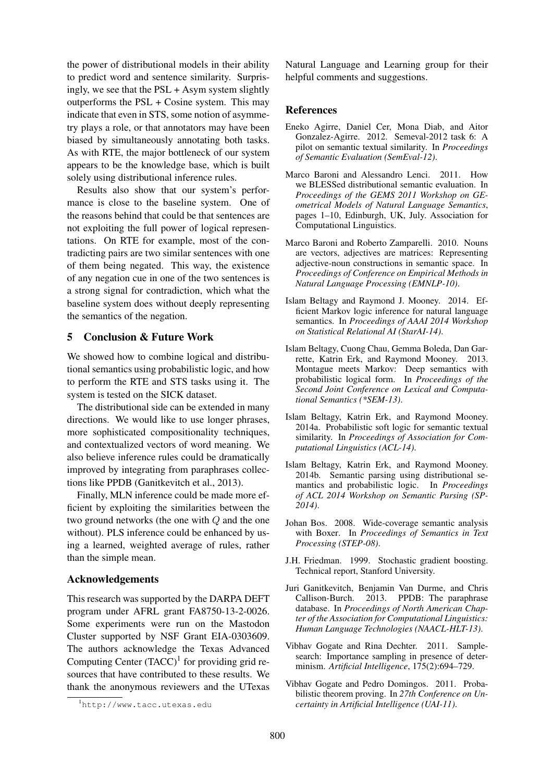the power of distributional models in their ability to predict word and sentence similarity. Surprisingly, we see that the  $PSL + Asym$  system slightly outperforms the PSL + Cosine system. This may indicate that even in STS, some notion of asymmetry plays a role, or that annotators may have been biased by simultaneously annotating both tasks. As with RTE, the major bottleneck of our system appears to be the knowledge base, which is built solely using distributional inference rules.

Results also show that our system's performance is close to the baseline system. One of the reasons behind that could be that sentences are not exploiting the full power of logical representations. On RTE for example, most of the contradicting pairs are two similar sentences with one of them being negated. This way, the existence of any negation cue in one of the two sentences is a strong signal for contradiction, which what the baseline system does without deeply representing the semantics of the negation.

#### 5 Conclusion & Future Work

We showed how to combine logical and distributional semantics using probabilistic logic, and how to perform the RTE and STS tasks using it. The system is tested on the SICK dataset.

The distributional side can be extended in many directions. We would like to use longer phrases, more sophisticated compositionality techniques, and contextualized vectors of word meaning. We also believe inference rules could be dramatically improved by integrating from paraphrases collections like PPDB (Ganitkevitch et al., 2013).

Finally, MLN inference could be made more efficient by exploiting the similarities between the two ground networks (the one with Q and the one without). PLS inference could be enhanced by using a learned, weighted average of rules, rather than the simple mean.

#### Acknowledgements

This research was supported by the DARPA DEFT program under AFRL grant FA8750-13-2-0026. Some experiments were run on the Mastodon Cluster supported by NSF Grant EIA-0303609. The authors acknowledge the Texas Advanced Computing Center  $(TACC)^1$  for providing grid resources that have contributed to these results. We thank the anonymous reviewers and the UTexas Natural Language and Learning group for their helpful comments and suggestions.

#### **References**

- Eneko Agirre, Daniel Cer, Mona Diab, and Aitor Gonzalez-Agirre. 2012. Semeval-2012 task 6: A pilot on semantic textual similarity. In *Proceedings of Semantic Evaluation (SemEval-12)*.
- Marco Baroni and Alessandro Lenci. 2011. How we BLESSed distributional semantic evaluation. In *Proceedings of the GEMS 2011 Workshop on GEometrical Models of Natural Language Semantics*, pages 1–10, Edinburgh, UK, July. Association for Computational Linguistics.
- Marco Baroni and Roberto Zamparelli. 2010. Nouns are vectors, adjectives are matrices: Representing adjective-noun constructions in semantic space. In *Proceedings of Conference on Empirical Methods in Natural Language Processing (EMNLP-10)*.
- Islam Beltagy and Raymond J. Mooney. 2014. Efficient Markov logic inference for natural language semantics. In *Proceedings of AAAI 2014 Workshop on Statistical Relational AI (StarAI-14)*.
- Islam Beltagy, Cuong Chau, Gemma Boleda, Dan Garrette, Katrin Erk, and Raymond Mooney. 2013. Montague meets Markov: Deep semantics with probabilistic logical form. In *Proceedings of the Second Joint Conference on Lexical and Computational Semantics (\*SEM-13)*.
- Islam Beltagy, Katrin Erk, and Raymond Mooney. 2014a. Probabilistic soft logic for semantic textual similarity. In *Proceedings of Association for Computational Linguistics (ACL-14)*.
- Islam Beltagy, Katrin Erk, and Raymond Mooney. 2014b. Semantic parsing using distributional semantics and probabilistic logic. In *Proceedings of ACL 2014 Workshop on Semantic Parsing (SP-2014)*.
- Johan Bos. 2008. Wide-coverage semantic analysis with Boxer. In *Proceedings of Semantics in Text Processing (STEP-08)*.
- J.H. Friedman. 1999. Stochastic gradient boosting. Technical report, Stanford University.
- Juri Ganitkevitch, Benjamin Van Durme, and Chris Callison-Burch. 2013. PPDB: The paraphrase database. In *Proceedings of North American Chapter of the Association for Computational Linguistics: Human Language Technologies (NAACL-HLT-13)*.
- Vibhav Gogate and Rina Dechter. 2011. Samplesearch: Importance sampling in presence of determinism. *Artificial Intelligence*, 175(2):694–729.
- Vibhav Gogate and Pedro Domingos. 2011. Probabilistic theorem proving. In *27th Conference on Uncertainty in Artificial Intelligence (UAI-11)*.

<sup>1</sup>http://www.tacc.utexas.edu